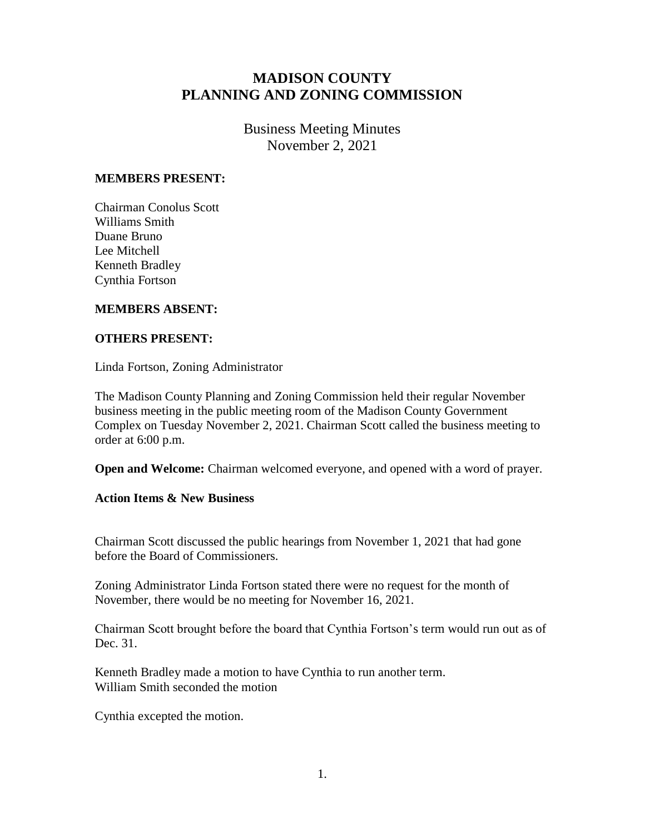## **MADISON COUNTY PLANNING AND ZONING COMMISSION**

Business Meeting Minutes November 2, 2021

## **MEMBERS PRESENT:**

Chairman Conolus Scott Williams Smith Duane Bruno Lee Mitchell Kenneth Bradley Cynthia Fortson

## **MEMBERS ABSENT:**

## **OTHERS PRESENT:**

Linda Fortson, Zoning Administrator

The Madison County Planning and Zoning Commission held their regular November business meeting in the public meeting room of the Madison County Government Complex on Tuesday November 2, 2021. Chairman Scott called the business meeting to order at 6:00 p.m.

**Open and Welcome:** Chairman welcomed everyone, and opened with a word of prayer.

**Action Items & New Business**

Chairman Scott discussed the public hearings from November 1, 2021 that had gone before the Board of Commissioners.

Zoning Administrator Linda Fortson stated there were no request for the month of November, there would be no meeting for November 16, 2021.

Chairman Scott brought before the board that Cynthia Fortson's term would run out as of Dec. 31.

Kenneth Bradley made a motion to have Cynthia to run another term. William Smith seconded the motion

Cynthia excepted the motion.